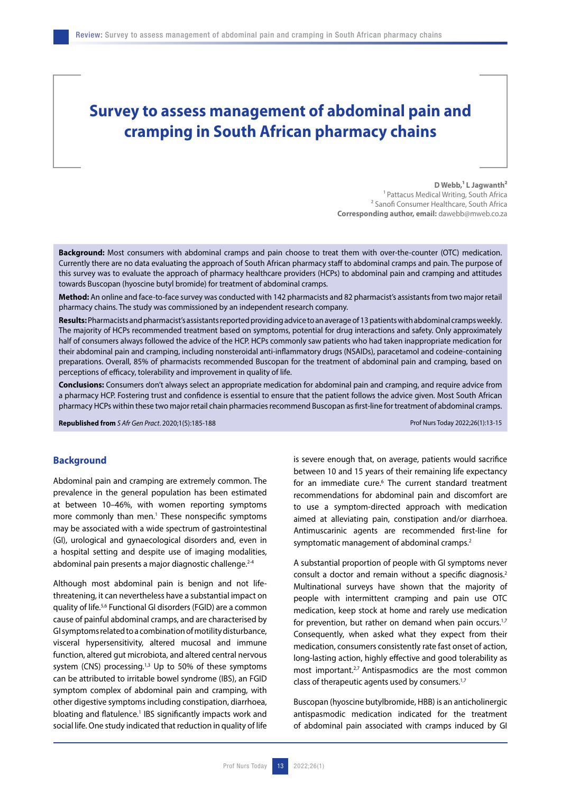# **Survey to assess management of abdominal pain and cramping in South African pharmacy chains**

#### D Webb,<sup>1</sup> L Jagwanth<sup>2</sup>

1 Pattacus Medical Writing, South Africa <sup>2</sup> Sanofi Consumer Healthcare, South Africa **Corresponding author, email:** dawebb@mweb.co.za

**Background:** Most consumers with abdominal cramps and pain choose to treat them with over-the-counter (OTC) medication. Currently there are no data evaluating the approach of South African pharmacy staff to abdominal cramps and pain. The purpose of this survey was to evaluate the approach of pharmacy healthcare providers (HCPs) to abdominal pain and cramping and attitudes towards Buscopan (hyoscine butyl bromide) for treatment of abdominal cramps.

**Method:** An online and face-to-face survey was conducted with 142 pharmacists and 82 pharmacist's assistants from two major retail pharmacy chains. The study was commissioned by an independent research company.

**Results:** Pharmacists and pharmacist's assistants reported providing advice to an average of 13 patients with abdominal cramps weekly. The majority of HCPs recommended treatment based on symptoms, potential for drug interactions and safety. Only approximately half of consumers always followed the advice of the HCP. HCPs commonly saw patients who had taken inappropriate medication for their abdominal pain and cramping, including nonsteroidal anti-inflammatory drugs (NSAIDs), paracetamol and codeine-containing preparations. Overall, 85% of pharmacists recommended Buscopan for the treatment of abdominal pain and cramping, based on perceptions of efficacy, tolerability and improvement in quality of life.

**Conclusions:** Consumers don't always select an appropriate medication for abdominal pain and cramping, and require advice from a pharmacy HCP. Fostering trust and confidence is essential to ensure that the patient follows the advice given. Most South African pharmacy HCPs within these two major retail chain pharmacies recommend Buscopan as first-line for treatment of abdominal cramps.

**Republished from** *S Afr Gen Pract*. 2020;1(5):185-188 Prof Nurs Today 2022;26(1):13-15

## **Background**

Abdominal pain and cramping are extremely common. The prevalence in the general population has been estimated at between 10–46%, with women reporting symptoms more commonly than men.<sup>1</sup> These nonspecific symptoms may be associated with a wide spectrum of gastrointestinal (GI), urological and gynaecological disorders and, even in a hospital setting and despite use of imaging modalities, abdominal pain presents a major diagnostic challenge.<sup>2-4</sup>

Although most abdominal pain is benign and not lifethreatening, it can nevertheless have a substantial impact on quality of life.5,6 Functional GI disorders (FGID) are a common cause of painful abdominal cramps, and are characterised by GI symptoms related to a combination of motility disturbance, visceral hypersensitivity, altered mucosal and immune function, altered gut microbiota, and altered central nervous system (CNS) processing. $1,3$  Up to 50% of these symptoms can be attributed to irritable bowel syndrome (IBS), an FGID symptom complex of abdominal pain and cramping, with other digestive symptoms including constipation, diarrhoea, bloating and flatulence.<sup>1</sup> IBS significantly impacts work and social life. One study indicated that reduction in quality of life is severe enough that, on average, patients would sacrifice between 10 and 15 years of their remaining life expectancy for an immediate cure.<sup>6</sup> The current standard treatment recommendations for abdominal pain and discomfort are to use a symptom-directed approach with medication aimed at alleviating pain, constipation and/or diarrhoea. Antimuscarinic agents are recommended first-line for symptomatic management of abdominal cramps.<sup>2</sup>

A substantial proportion of people with GI symptoms never consult a doctor and remain without a specific diagnosis.2 Multinational surveys have shown that the majority of people with intermittent cramping and pain use OTC medication, keep stock at home and rarely use medication for prevention, but rather on demand when pain occurs.<sup>1,7</sup> Consequently, when asked what they expect from their medication, consumers consistently rate fast onset of action, long-lasting action, highly effective and good tolerability as most important.<sup>2,7</sup> Antispasmodics are the most common class of therapeutic agents used by consumers.<sup>1,7</sup>

Buscopan (hyoscine butylbromide, HBB) is an anticholinergic antispasmodic medication indicated for the treatment of abdominal pain associated with cramps induced by GI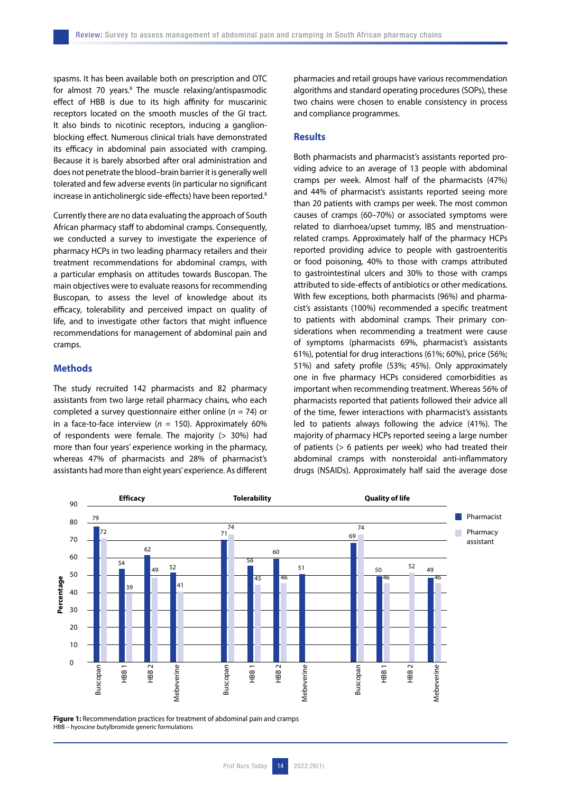spasms. It has been available both on prescription and OTC for almost 70 years.<sup>8</sup> The muscle relaxing/antispasmodic effect of HBB is due to its high affinity for muscarinic receptors located on the smooth muscles of the GI tract. It also binds to nicotinic receptors, inducing a ganglionblocking effect. Numerous clinical trials have demonstrated its efficacy in abdominal pain associated with cramping. Because it is barely absorbed after oral administration and does not penetrate the blood–brain barrier it is generally well tolerated and few adverse events (in particular no significant increase in anticholinergic side-effects) have been reported.<sup>8</sup>

Currently there are no data evaluating the approach of South African pharmacy staff to abdominal cramps. Consequently, we conducted a survey to investigate the experience of pharmacy HCPs in two leading pharmacy retailers and their treatment recommendations for abdominal cramps, with a particular emphasis on attitudes towards Buscopan. The main objectives were to evaluate reasons for recommending Buscopan, to assess the level of knowledge about its efficacy, tolerability and perceived impact on quality of life, and to investigate other factors that might influence recommendations for management of abdominal pain and cramps.

# **Methods**

The study recruited 142 pharmacists and 82 pharmacy assistants from two large retail pharmacy chains, who each completed a survey questionnaire either online (*n* = 74) or in a face-to-face interview ( $n = 150$ ). Approximately 60% of respondents were female. The majority  $(> 30\%)$  had more than four years' experience working in the pharmacy, whereas 47% of pharmacists and 28% of pharmacist's assistants had more than eight years' experience. As different pharmacies and retail groups have various recommendation algorithms and standard operating procedures (SOPs), these two chains were chosen to enable consistency in process and compliance programmes.

#### **Results**

Both pharmacists and pharmacist's assistants reported providing advice to an average of 13 people with abdominal cramps per week. Almost half of the pharmacists (47%) and 44% of pharmacist's assistants reported seeing more than 20 patients with cramps per week. The most common causes of cramps (60–70%) or associated symptoms were related to diarrhoea/upset tummy, IBS and menstruationrelated cramps. Approximately half of the pharmacy HCPs reported providing advice to people with gastroenteritis or food poisoning, 40% to those with cramps attributed to gastrointestinal ulcers and 30% to those with cramps attributed to side-effects of antibiotics or other medications. With few exceptions, both pharmacists (96%) and pharmacist's assistants (100%) recommended a specific treatment to patients with abdominal cramps. Their primary considerations when recommending a treatment were cause of symptoms (pharmacists 69%, pharmacist's assistants 61%), potential for drug interactions (61%; 60%), price (56%; 51%) and safety profile (53%; 45%). Only approximately one in five pharmacy HCPs considered comorbidities as important when recommending treatment. Whereas 56% of pharmacists reported that patients followed their advice all of the time, fewer interactions with pharmacist's assistants led to patients always following the advice (41%). The majority of pharmacy HCPs reported seeing a large number of patients (> 6 patients per week) who had treated their abdominal cramps with nonsteroidal anti-inflammatory drugs (NSAIDs). Approximately half said the average dose



**Figure 1:** Recommendation practices for treatment of abdominal pain and cramps HBB – hyoscine butylbromide generic formulations